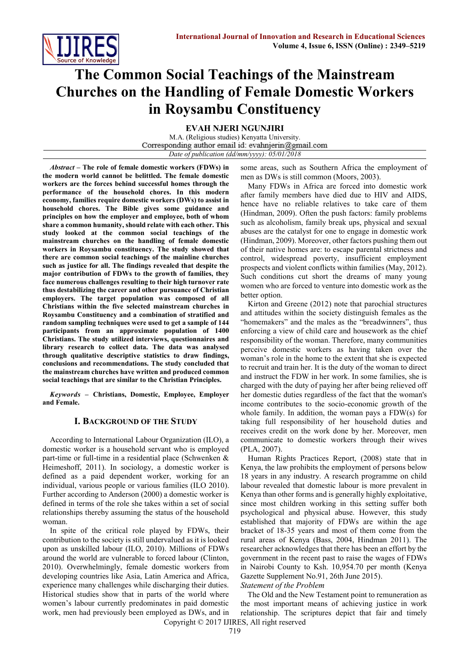

# **The Common Social Teachings of the Mainstream Churches on the Handling of Female Domestic Workers in Roysambu Constituency**

**EVAH NJERI NGUNJIRI**

M.A. (Religious studies) Kenyatta University.<br>Corresponding author email id: evahnjerin@gmail.com *Date of publication (dd/mm/yyyy): 05/01/2018*

*Abstract* **– The role of female domestic workers (FDWs) in the modern world cannot be belittled. The female domestic workers are the forces behind successful homes through the performance of the household chores. In this modern economy, families require domestic workers (DWs) to assist in household chores. The Bible gives some guidance and principles on how the employer and employee, both of whom share a common humanity, should relate with each other. This study looked at the common social teachings of the mainstream churches on the handling of female domestic workers in Roysambu constituency. The study showed that there are common social teachings of the mainline churches such as justice for all. The findings revealed that despite the major contribution of FDWs to the growth of families, they face numerous challenges resulting to their high turnover rate thus destabilizing the career and other pursuance of Christian employers. The target population was composed of all Christians within the five selected mainstream churches in Roysambu Constituency and a combination of stratified and random sampling techniques were used to get a sample of 144 participants from an approximate population of 1400 Christians. The study utilized interviews, questionnaires and library research to collect data. The data was analysed through qualitative descriptive statistics to draw findings, conclusions and recommendations. The study concluded that the mainstream churches have written and produced common social teachings that are similar to the Christian Principles.** 

*Keywords* **– Christians, Domestic, Employee, Employer and Female.**

### **I. BACKGROUND OF THE STUDY**

According to International Labour Organization (ILO), a domestic worker is a household servant who is employed part-time or full-time in a residential place (Schwenken & Heimeshoff, 2011). In sociology, a domestic worker is defined as a paid dependent worker, working for an individual, various people or various families (ILO 2010). Further according to Anderson (2000) a domestic worker is defined in terms of the role she takes within a set of social relationships thereby assuming the status of the household woman.

In spite of the critical role played by FDWs, their contribution to the society is still undervalued as it is looked upon as unskilled labour (ILO, 2010). Millions of FDWs around the world are vulnerable to forced labour (Clinton, 2010). Overwhelmingly, female domestic workers from developing countries like Asia, Latin America and Africa, experience many challenges while discharging their duties. Historical studies show that in parts of the world where women's labour currently predominates in paid domestic work, men had previously been employed as DWs, and in some areas, such as Southern Africa the employment of men as DWs is still common (Moors, 2003).

Many FDWs in Africa are forced into domestic work after family members have died due to HIV and AIDS, hence have no reliable relatives to take care of them (Hindman, 2009). Often the push factors: family problems such as alcoholism, family break ups, physical and sexual abuses are the catalyst for one to engage in domestic work (Hindman, 2009). Moreover, other factors pushing them out of their native homes are: to escape parental strictness and control, widespread poverty, insufficient employment prospects and violent conflicts within families (May, 2012). Such conditions cut short the dreams of many young women who are forced to venture into domestic work as the better option.

Kirton and Greene (2012) note that parochial structures and attitudes within the society distinguish females as the "homemakers" and the males as the "breadwinners", thus enforcing a view of child care and housework as the chief responsibility of the woman. Therefore, many communities perceive domestic workers as having taken over the woman's role in the home to the extent that she is expected to recruit and train her. It is the duty of the woman to direct and instruct the FDW in her work. In some families, she is charged with the duty of paying her after being relieved off her domestic duties regardless of the fact that the woman's income contributes to the socio-economic growth of the whole family. In addition, the woman pays a FDW(s) for taking full responsibility of her household duties and receives credit on the work done by her. Moreover, men communicate to domestic workers through their wives (PLA, 2007).

Human Rights Practices Report, (2008) state that in Kenya, the law prohibits the employment of persons below 18 years in any industry. A research programme on child labour revealed that domestic labour is more prevalent in Kenya than other forms and is generally highly exploitative, since most children working in this setting suffer both psychological and physical abuse. However, this study established that majority of FDWs are within the age bracket of 18-35 years and most of them come from the rural areas of Kenya (Bass, 2004, Hindman 2011). The researcher acknowledges that there has been an effort by the government in the recent past to raise the wages of FDWs in Nairobi County to Ksh. 10,954.70 per month (Kenya Gazette Supplement No.91, 26th June 2015).

#### *Statement of the Problem*

Copyright © 2017 IJIRES, All right reserved The Old and the New Testament point to remuneration as the most important means of achieving justice in work relationship. The scriptures depict that fair and timely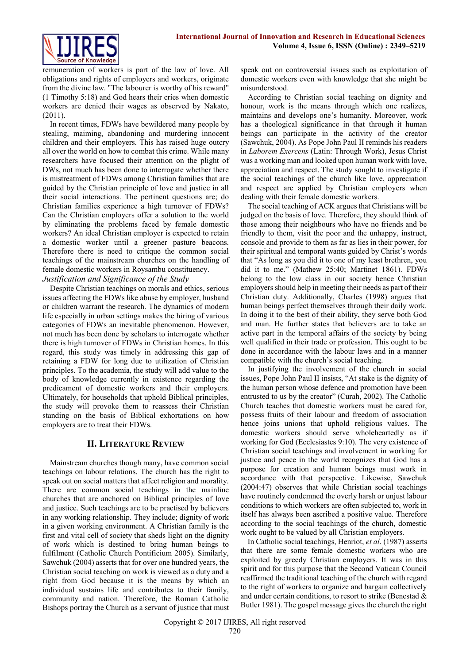

remuneration of workers is part of the law of love. All obligations and rights of employers and workers, originate from the divine law. "The labourer is worthy of his reward" (1 Timothy 5:18) and God hears their cries when domestic workers are denied their wages as observed by Nakato, (2011).

In recent times, FDWs have bewildered many people by stealing, maiming, abandoning and murdering innocent children and their employers. This has raised huge outcry all over the world on how to combat this crime. While many researchers have focused their attention on the plight of DWs, not much has been done to interrogate whether there is mistreatment of FDWs among Christian families that are guided by the Christian principle of love and justice in all their social interactions. The pertinent questions are; do Christian families experience a high turnover of FDWs? Can the Christian employers offer a solution to the world by eliminating the problems faced by female domestic workers? An ideal Christian employer is expected to retain a domestic worker until a greener pasture beacons. Therefore there is need to critique the common social teachings of the mainstream churches on the handling of female domestic workers in Roysambu constituency.

*Justification and Significance of the Study*

Despite Christian teachings on morals and ethics, serious issues affecting the FDWs like abuse by employer, husband or children warrant the research. The dynamics of modern life especially in urban settings makes the hiring of various categories of FDWs an inevitable phenomenon. However, not much has been done by scholars to interrogate whether there is high turnover of FDWs in Christian homes. In this regard, this study was timely in addressing this gap of retaining a FDW for long due to utilization of Christian principles. To the academia, the study will add value to the body of knowledge currently in existence regarding the predicament of domestic workers and their employers. Ultimately, for households that uphold Biblical principles, the study will provoke them to reassess their Christian standing on the basis of Biblical exhortations on how employers are to treat their FDWs.

### **II. LITERATURE REVIEW**

Mainstream churches though many, have common social teachings on labour relations. The church has the right to speak out on social matters that affect religion and morality. There are common social teachings in the mainline churches that are anchored on Biblical principles of love and justice. Such teachings are to be practised by believers in any working relationship. They include; dignity of work in a given working environment. A Christian family is the first and vital cell of society that sheds light on the dignity of work which is destined to bring human beings to fulfilment (Catholic Church Pontificium 2005). Similarly, Sawchuk (2004) asserts that for over one hundred years, the Christian social teaching on work is viewed as a duty and a right from God because it is the means by which an individual sustains life and contributes to their family, community and nation. Therefore, the Roman Catholic Bishops portray the Church as a servant of justice that must

speak out on controversial issues such as exploitation of domestic workers even with knowledge that she might be misunderstood.

According to Christian social teaching on dignity and honour, work is the means through which one realizes, maintains and develops one's humanity. Moreover, work has a theological significance in that through it human beings can participate in the activity of the creator (Sawchuk, 2004). As Pope John Paul II reminds his readers in *Laborem Exercens* (Latin: Through Work), Jesus Christ was a working man and looked upon human work with love, appreciation and respect. The study sought to investigate if the social teachings of the church like love, appreciation and respect are applied by Christian employers when dealing with their female domestic workers.

The social teaching of ACK argues that Christians will be judged on the basis of love. Therefore, they should think of those among their neighbours who have no friends and be friendly to them, visit the poor and the unhappy, instruct, console and provide to them as far as lies in their power, for their spiritual and temporal wants guided by Christ's words that "As long as you did it to one of my least brethren, you did it to me." (Mathew 25:40; Martinet 1861). FDWs belong to the low class in our society hence Christian employers should help in meeting their needs as part of their Christian duty. Additionally, Charles (1998) argues that human beings perfect themselves through their daily work. In doing it to the best of their ability, they serve both God and man. He further states that believers are to take an active part in the temporal affairs of the society by being well qualified in their trade or profession. This ought to be done in accordance with the labour laws and in a manner compatible with the church's social teaching.

In justifying the involvement of the church in social issues, Pope John Paul II insists, "At stake is the dignity of the human person whose defence and promotion have been entrusted to us by the creator" (Curah, 2002). The Catholic Church teaches that domestic workers must be cared for, possess fruits of their labour and freedom of association hence joins unions that uphold religious values. The domestic workers should serve wholeheartedly as if working for God (Ecclesiastes 9:10). The very existence of Christian social teachings and involvement in working for justice and peace in the world recognizes that God has a purpose for creation and human beings must work in accordance with that perspective. Likewise, Sawchuk (2004:47) observes that while Christian social teachings have routinely condemned the overly harsh or unjust labour conditions to which workers are often subjected to, work in itself has always been ascribed a positive value. Therefore according to the social teachings of the church, domestic work ought to be valued by all Christian employers.

In Catholic social teachings, Henriot, *et al*. (1987) asserts that there are some female domestic workers who are exploited by greedy Christian employers. It was in this spirit and for this purpose that the Second Vatican Council reaffirmed the traditional teaching of the church with regard to the right of workers to organize and bargain collectively and under certain conditions, to resort to strike (Benestad  $\&$ Butler 1981). The gospel message gives the church the right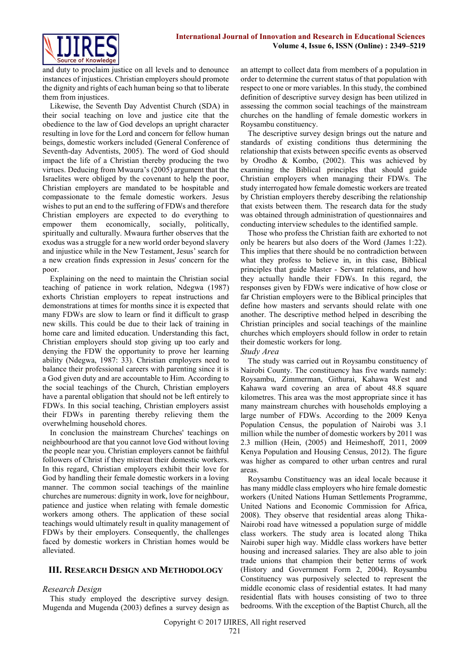

and duty to proclaim justice on all levels and to denounce instances of injustices. Christian employers should promote the dignity and rights of each human being so that to liberate them from injustices.

Likewise, the Seventh Day Adventist Church (SDA) in their social teaching on love and justice cite that the obedience to the law of God develops an upright character resulting in love for the Lord and concern for fellow human beings, domestic workers included (General Conference of Seventh-day Adventists, 2005). The word of God should impact the life of a Christian thereby producing the two virtues. Deducing from Mwaura's (2005) argument that the Israelites were obliged by the covenant to help the poor, Christian employers are mandated to be hospitable and compassionate to the female domestic workers. Jesus wishes to put an end to the suffering of FDWs and therefore Christian employers are expected to do everything to empower them economically, socially, politically, spiritually and culturally. Mwaura further observes that the exodus was a struggle for a new world order beyond slavery and injustice while in the New Testament, Jesus' search for a new creation finds expression in Jesus' concern for the poor.

Explaining on the need to maintain the Christian social teaching of patience in work relation, Ndegwa (1987) exhorts Christian employers to repeat instructions and demonstrations at times for months since it is expected that many FDWs are slow to learn or find it difficult to grasp new skills. This could be due to their lack of training in home care and limited education. Understanding this fact, Christian employers should stop giving up too early and denying the FDW the opportunity to prove her learning ability (Ndegwa, 1987: 33). Christian employers need to balance their professional careers with parenting since it is a God given duty and are accountable to Him. According to the social teachings of the Church, Christian employers have a parental obligation that should not be left entirely to FDWs. In this social teaching, Christian employers assist their FDWs in parenting thereby relieving them the overwhelming household chores.

In conclusion the mainstream Churches' teachings on neighbourhood are that you cannot love God without loving the people near you. Christian employers cannot be faithful followers of Christ if they mistreat their domestic workers. In this regard, Christian employers exhibit their love for God by handling their female domestic workers in a loving manner. The common social teachings of the mainline churches are numerous: dignity in work, love for neighbour, patience and justice when relating with female domestic workers among others. The application of these social teachings would ultimately result in quality management of FDWs by their employers. Consequently, the challenges faced by domestic workers in Christian homes would be alleviated.

# **III. RESEARCH DESIGN AND METHODOLOGY**

# *Research Design*

This study employed the descriptive survey design. Mugenda and Mugenda (2003) defines a survey design as an attempt to collect data from members of a population in order to determine the current status of that population with respect to one or more variables. In this study, the combined definition of descriptive survey design has been utilized in assessing the common social teachings of the mainstream churches on the handling of female domestic workers in Roysambu constituency.

The descriptive survey design brings out the nature and standards of existing conditions thus determining the relationship that exists between specific events as observed by Orodho & Kombo, (2002). This was achieved by examining the Biblical principles that should guide Christian employers when managing their FDWs. The study interrogated how female domestic workers are treated by Christian employers thereby describing the relationship that exists between them. The research data for the study was obtained through administration of questionnaires and conducting interview schedules to the identified sample.

Those who profess the Christian faith are exhorted to not only be hearers but also doers of the Word (James 1:22). This implies that there should be no contradiction between what they profess to believe in, in this case, Biblical principles that guide Master - Servant relations, and how they actually handle their FDWs. In this regard, the responses given by FDWs were indicative of how close or far Christian employers were to the Biblical principles that define how masters and servants should relate with one another. The descriptive method helped in describing the Christian principles and social teachings of the mainline churches which employers should follow in order to retain their domestic workers for long.

### *Study Area*

The study was carried out in Roysambu constituency of Nairobi County. The constituency has five wards namely: Roysambu, Zimmerman, Githurai, Kahawa West and Kahawa ward covering an area of about 48.8 square kilometres. This area was the most appropriate since it has many mainstream churches with households employing a large number of FDWs. According to the 2009 Kenya Population Census, the population of Nairobi was 3.1 million while the number of domestic workers by 2011 was 2.3 million (Hein, (2005) and Heimeshoff, 2011, 2009 Kenya Population and Housing Census, 2012). The figure was higher as compared to other urban centres and rural areas.

Roysambu Constituency was an ideal locale because it has many middle class employers who hire female domestic workers (United Nations Human Settlements Programme, United Nations and Economic Commission for Africa, 2008). They observe that residential areas along Thika-Nairobi road have witnessed a population surge of middle class workers. The study area is located along Thika Nairobi super high way. Middle class workers have better housing and increased salaries. They are also able to join trade unions that champion their better terms of work (History and Government Form 2, 2004). Roysambu Constituency was purposively selected to represent the middle economic class of residential estates. It had many residential flats with houses consisting of two to three bedrooms. With the exception of the Baptist Church, all the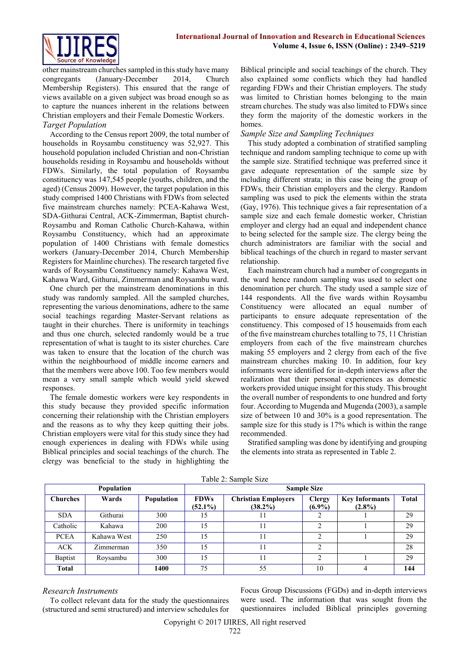

other mainstream churches sampled in this study have many congregants (January-December 2014, Church Membership Registers). This ensured that the range of views available on a given subject was broad enough so as to capture the nuances inherent in the relations between Christian employers and their Female Domestic Workers.

# *Target Population*

According to the Census report 2009, the total number of households in Roysambu constituency was 52,927. This household population included Christian and non-Christian households residing in Roysambu and households without FDWs. Similarly, the total population of Roysambu constituency was 147,545 people (youths, children, and the aged) (Census 2009). However, the target population in this study comprised 1400 Christians with FDWs from selected five mainstream churches namely: PCEA-Kahawa West, SDA-Githurai Central, ACK-Zimmerman, Baptist church-Roysambu and Roman Catholic Church-Kahawa, within Roysambu Constituency, which had an approximate population of 1400 Christians with female domestics workers (January-December 2014, Church Membership Registers for Mainline churches). The research targeted five wards of Roysambu Constituency namely: Kahawa West, Kahawa Ward, Githurai, Zimmerman and Roysambu ward.

One church per the mainstream denominations in this study was randomly sampled. All the sampled churches, representing the various denominations, adhere to the same social teachings regarding Master-Servant relations as taught in their churches. There is uniformity in teachings and thus one church, selected randomly would be a true representation of what is taught to its sister churches. Care was taken to ensure that the location of the church was within the neighbourhood of middle income earners and that the members were above 100. Too few members would mean a very small sample which would yield skewed responses.

The female domestic workers were key respondents in this study because they provided specific information concerning their relationship with the Christian employers and the reasons as to why they keep quitting their jobs. Christian employers were vital for this study since they had enough experiences in dealing with FDWs while using Biblical principles and social teachings of the church. The clergy was beneficial to the study in highlighting the Biblical principle and social teachings of the church. They also explained some conflicts which they had handled regarding FDWs and their Christian employers. The study was limited to Christian homes belonging to the main stream churches. The study was also limited to FDWs since they form the majority of the domestic workers in the homes.

### *Sample Size and Sampling Techniques*

This study adopted a combination of stratified sampling technique and random sampling technique to come up with the sample size. Stratified technique was preferred since it gave adequate representation of the sample size by including different strata; in this case being the group of FDWs, their Christian employers and the clergy. Random sampling was used to pick the elements within the strata (Gay, 1976). This technique gives a fair representation of a sample size and each female domestic worker, Christian employer and clergy had an equal and independent chance to being selected for the sample size. The clergy being the church administrators are familiar with the social and biblical teachings of the church in regard to master servant relationship.

Each mainstream church had a number of congregants in the ward hence random sampling was used to select one denomination per church. The study used a sample size of 144 respondents. All the five wards within Roysambu Constituency were allocated an equal number of participants to ensure adequate representation of the constituency. This composed of 15 housemaids from each of the five mainstream churches totalling to 75, 11 Christian employers from each of the five mainstream churches making 55 employers and 2 clergy from each of the five mainstream churches making 10. In addition, four key informants were identified for in-depth interviews after the realization that their personal experiences as domestic workers provided unique insight for this study. This brought the overall number of respondents to one hundred and forty four. According to Mugenda and Mugenda (2003), a sample size of between 10 and 30% is a good representation. The sample size for this study is 17% which is within the range recommended.

Stratified sampling was done by identifying and grouping the elements into strata as represented in Table 2.

| <b>Population</b> |             |                   | $\mathbf{r}$<br><b>Sample Size</b> |                                          |                            |                                    |              |
|-------------------|-------------|-------------------|------------------------------------|------------------------------------------|----------------------------|------------------------------------|--------------|
| <b>Churches</b>   | Wards       | <b>Population</b> | <b>FDWs</b><br>$(52.1\%)$          | <b>Christian Employers</b><br>$(38.2\%)$ | <b>Clergy</b><br>$(6.9\%)$ | <b>Key Informants</b><br>$(2.8\%)$ | <b>Total</b> |
| <b>SDA</b>        | Githurai    | 300               | 15                                 |                                          |                            |                                    | 29           |
| Catholic          | Kahawa      | 200               | 15                                 |                                          | ◠                          |                                    | 29           |
| <b>PCEA</b>       | Kahawa West | 250               | 15                                 |                                          | ↑                          |                                    | 29           |
| <b>ACK</b>        | Zimmerman   | 350               | 15                                 |                                          | ↑                          |                                    | 28           |
| <b>Baptist</b>    | Roysambu    | 300               | 15                                 |                                          | ◠                          |                                    | 29           |
| <b>Total</b>      |             | 1400              | 75                                 | 55                                       | 10                         |                                    | 144          |

Table 2: Sample Size

### *Research Instruments*

To collect relevant data for the study the questionnaires (structured and semi structured) and interview schedules for Focus Group Discussions (FGDs) and in-depth interviews were used. The information that was sought from the questionnaires included Biblical principles governing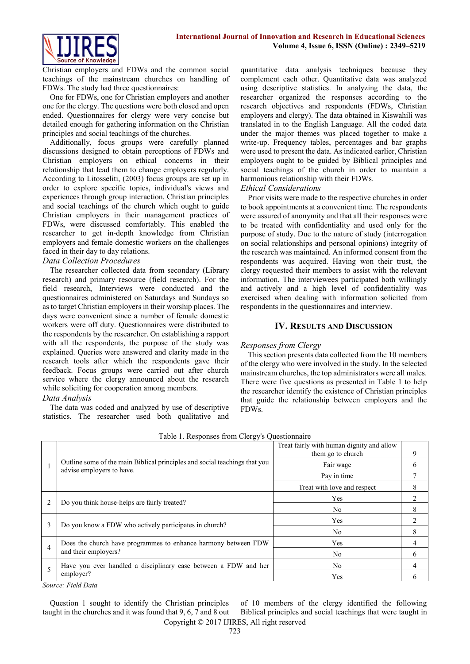

Christian employers and FDWs and the common social teachings of the mainstream churches on handling of FDWs. The study had three questionnaires:

One for FDWs, one for Christian employers and another one for the clergy. The questions were both closed and open ended. Questionnaires for clergy were very concise but detailed enough for gathering information on the Christian principles and social teachings of the churches.

Additionally, focus groups were carefully planned discussions designed to obtain perceptions of FDWs and Christian employers on ethical concerns in their relationship that lead them to change employers regularly. According to Litosseliti, (2003) focus groups are set up in order to explore specific topics, individual's views and experiences through group interaction. Christian principles and social teachings of the church which ought to guide Christian employers in their management practices of FDWs, were discussed comfortably. This enabled the researcher to get in-depth knowledge from Christian employers and female domestic workers on the challenges faced in their day to day relations.

### *Data Collection Procedures*

The researcher collected data from secondary (Library research) and primary resource (field research). For the field research, Interviews were conducted and the questionnaires administered on Saturdays and Sundays so as to target Christian employers in their worship places. The days were convenient since a number of female domestic workers were off duty. Questionnaires were distributed to the respondents by the researcher. On establishing a rapport with all the respondents, the purpose of the study was explained. Queries were answered and clarity made in the research tools after which the respondents gave their feedback. Focus groups were carried out after church service where the clergy announced about the research while soliciting for cooperation among members. *Data Analysis*

The data was coded and analyzed by use of descriptive statistics. The researcher used both qualitative and quantitative data analysis techniques because they complement each other. Quantitative data was analyzed using descriptive statistics. In analyzing the data, the researcher organized the responses according to the research objectives and respondents (FDWs, Christian employers and clergy). The data obtained in Kiswahili was translated in to the English Language. All the coded data under the major themes was placed together to make a write-up. Frequency tables, percentages and bar graphs were used to present the data. As indicated earlier, Christian employers ought to be guided by Biblical principles and social teachings of the church in order to maintain a harmonious relationship with their FDWs.

## *Ethical Considerations*

Prior visits were made to the respective churches in order to book appointments at a convenient time. The respondents were assured of anonymity and that all their responses were to be treated with confidentiality and used only for the purpose of study. Due to the nature of study (interrogation on social relationships and personal opinions) integrity of the research was maintained. An informed consent from the respondents was acquired. Having won their trust, the clergy requested their members to assist with the relevant information. The interviewees participated both willingly and actively and a high level of confidentiality was exercised when dealing with information solicited from respondents in the questionnaires and interview.

## **IV. RESULTS AND DISCUSSION**

#### *Responses from Clergy*

This section presents data collected from the 10 members of the clergy who were involved in the study. In the selected mainstream churches, the top administrators were all males. There were five questions as presented in Table 1 to help the researcher identify the existence of Christian principles that guide the relationship between employers and the FDWs.

|   | Table 1. Responses from Clergy's Questionnance                             | Treat fairly with human dignity and allow<br>them go to church | 9 |
|---|----------------------------------------------------------------------------|----------------------------------------------------------------|---|
|   | Outline some of the main Biblical principles and social teachings that you | Fair wage                                                      | 6 |
|   | advise employers to have.                                                  | Pay in time                                                    |   |
|   |                                                                            | Treat with love and respect                                    | 8 |
| 2 | Do you think house-helps are fairly treated?                               | Yes                                                            |   |
|   |                                                                            | No.                                                            | 8 |
| 3 | Do you know a FDW who actively participates in church?                     | Yes                                                            |   |
|   |                                                                            | N <sub>0</sub>                                                 | 8 |
| 4 | Does the church have programmes to enhance harmony between FDW             | Yes                                                            |   |
|   | and their employers?                                                       | N <sub>0</sub>                                                 | 6 |
| 5 | Have you ever handled a disciplinary case between a FDW and her            | No.                                                            |   |
|   | employer?                                                                  | Yes                                                            | n |

## Table 1. Responses from Clergy's Questionnaire

*Source: Field Data*

Copyright © 2017 IJIRES, All right reserved Question 1 sought to identify the Christian principles taught in the churches and it was found that 9, 6, 7 and 8 out of 10 members of the clergy identified the following Biblical principles and social teachings that were taught in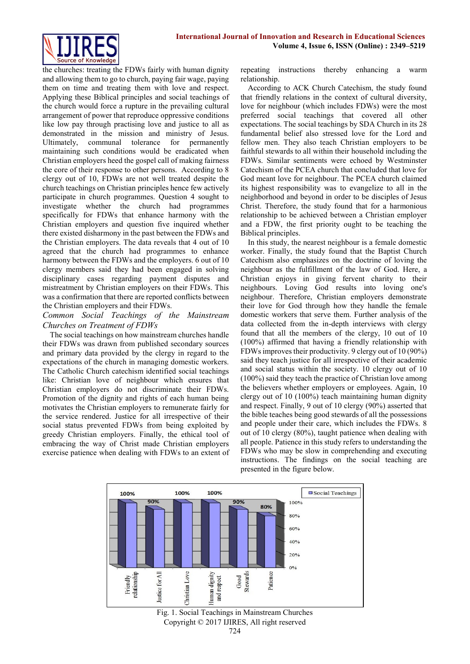the churches: treating the FDWs fairly with human dignity and allowing them to go to church, paying fair wage, paying them on time and treating them with love and respect. Applying these Biblical principles and social teachings of the church would force a rupture in the prevailing cultural arrangement of power that reproduce oppressive conditions like low pay through practising love and justice to all as demonstrated in the mission and ministry of Jesus. Ultimately, communal tolerance for permanently maintaining such conditions would be eradicated when Christian employers heed the gospel call of making fairness the core of their response to other persons. According to 8 clergy out of 10, FDWs are not well treated despite the church teachings on Christian principles hence few actively participate in church programmes. Question 4 sought to investigate whether the church had programmes specifically for FDWs that enhance harmony with the Christian employers and question five inquired whether there existed disharmony in the past between the FDWs and the Christian employers. The data reveals that 4 out of 10 agreed that the church had programmes to enhance harmony between the FDWs and the employers. 6 out of 10 clergy members said they had been engaged in solving disciplinary cases regarding payment disputes and mistreatment by Christian employers on their FDWs. This was a confirmation that there are reported conflicts between the Christian employers and their FDWs.

# *Common Social Teachings of the Mainstream Churches on Treatment of FDWs*

The social teachings on how mainstream churches handle their FDWs was drawn from published secondary sources and primary data provided by the clergy in regard to the expectations of the church in managing domestic workers. The Catholic Church catechism identified social teachings like: Christian love of neighbour which ensures that Christian employers do not discriminate their FDWs. Promotion of the dignity and rights of each human being motivates the Christian employers to remunerate fairly for the service rendered. Justice for all irrespective of their social status prevented FDWs from being exploited by greedy Christian employers. Finally, the ethical tool of embracing the way of Christ made Christian employers exercise patience when dealing with FDWs to an extent of

repeating instructions thereby enhancing a warm relationship.

According to ACK Church Catechism, the study found that friendly relations in the context of cultural diversity, love for neighbour (which includes FDWs) were the most preferred social teachings that covered all other expectations. The social teachings by SDA Church in its 28 fundamental belief also stressed love for the Lord and fellow men. They also teach Christian employers to be faithful stewards to all within their household including the FDWs. Similar sentiments were echoed by Westminster Catechism of the PCEA church that concluded that love for God meant love for neighbour. The PCEA church claimed its highest responsibility was to evangelize to all in the neighborhood and beyond in order to be disciples of Jesus Christ. Therefore, the study found that for a harmonious relationship to be achieved between a Christian employer and a FDW, the first priority ought to be teaching the Biblical principles.

In this study, the nearest neighbour is a female domestic worker. Finally, the study found that the Baptist Church Catechism also emphasizes on the doctrine of loving the neighbour as the fulfillment of the law of God. Here, a Christian enjoys in giving fervent charity to their neighbours. Loving God results into loving one's neighbour. Therefore, Christian employers demonstrate their love for God through how they handle the female domestic workers that serve them. Further analysis of the data collected from the in-depth interviews with clergy found that all the members of the clergy, 10 out of 10 (100%) affirmed that having a friendly relationship with FDWs improves their productivity. 9 clergy out of 10 (90%) said they teach justice for all irrespective of their academic and social status within the society. 10 clergy out of 10 (100%) said they teach the practice of Christian love among the believers whether employers or employees. Again, 10 clergy out of 10 (100%) teach maintaining human dignity and respect. Finally, 9 out of 10 clergy (90%) asserted that the bible teaches being good stewards of all the possessions and people under their care, which includes the FDWs. 8 out of 10 clergy (80%), taught patience when dealing with all people. Patience in this study refers to understanding the FDWs who may be slow in comprehending and executing instructions. The findings on the social teaching are presented in the figure below.



Copyright © 2017 IJIRES, All right reserved Fig. 1. Social Teachings in Mainstream Churches